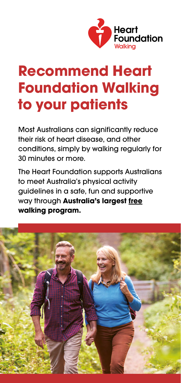

# **Recommend Heart Foundation Walking to your patients**

Most Australians can significantly reduce their risk of heart disease, and other conditions, simply by walking regularly for 30 minutes or more.

The Heart Foundation supports Australians to meet Australia's physical activity guidelines in a safe, fun and supportive way through **Australia's largest free walking program.**

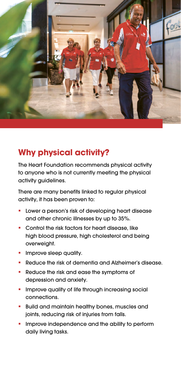

### **Why physical activity?**

The Heart Foundation recommends physical activity to anyone who is not currently meeting the physical activity guidelines.

There are many benefits linked to regular physical activity, it has been proven to:

- Lower a person's risk of developing heart disease and other chronic illnesses by up to 35%.
- **Control the risk factors for heart disease, like** high blood pressure, high cholesterol and being overweight.
- Improve sleep quality.
- Reduce the risk of dementia and Alzheimer's disease.
- Reduce the risk and ease the symptoms of depression and anxiety.
- Improve quality of life through increasing social connections.
- Build and maintain healthy bones, muscles and joints, reducing risk of injuries from falls.
- Improve independence and the ability to perform daily living tasks.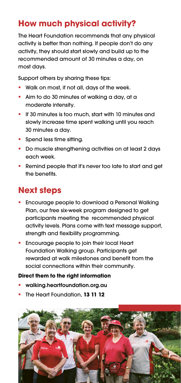## **How much physical activity?**

The Heart Foundation recommends that any physical activity is better than nothing. If people don't do any activity, they should start slowly and build up to the recommended amount of 30 minutes a day, on most days.

Support others by sharing these tips:

- Walk on most, if not all, days of the week.
- Aim to do 30 minutes of walking a day, at a moderate intensity.
- **If 30 minutes is too much, start with 10 minutes and** slowly increase time spent walking until you reach 30 minutes a day.
- **Spend less time sitting.**
- Do muscle strengthening activities on at least 2 days each week.
- **Remind people that it's never too late to start and get** the benefits.

## **Next steps**

- Encourage people to download a Personal Walking Plan, our free six-week program designed to get participants meeting the recommended physical activity levels. Plans come with text message support, strength and flexibility programming.
- **Encourage people to join their local Heart** Foundation Walking group. Participants get rewarded at walk milestones and benefit from the social connections within their community.

#### **Direct them to the right information**

- walking.heartfoundation.org.au
- The Heart Foundation, **13 11 12**